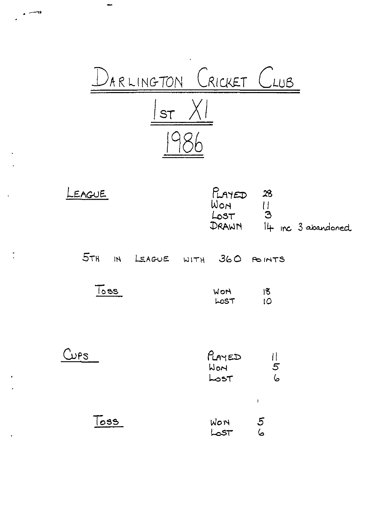

٠v  $\cdot$   $-$ 

 $\ddot{\cdot}$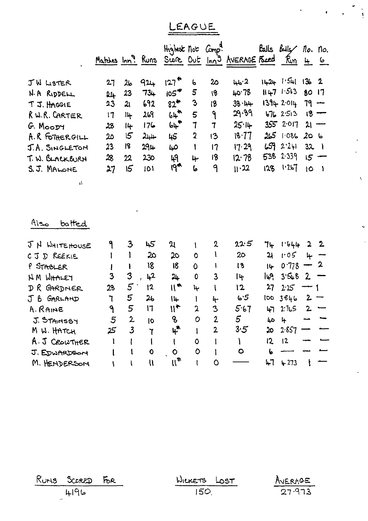## LEAGUE

|                  |    |                 |                             | Highest not Comp.               |                         |                         | <u>Matches Inn?</u> Runs Score Out Inn <sup>9</sup> AVERAGE Faced Run |      | Balls Buller No. No. | 4                        | $\frac{6}{1}$ |
|------------------|----|-----------------|-----------------------------|---------------------------------|-------------------------|-------------------------|-----------------------------------------------------------------------|------|----------------------|--------------------------|---------------|
| JW LISTER        | 27 | 2 <sub>b</sub>  | 924                         | 127                             | 6                       | 20                      | 46.2                                                                  |      | $14 - 24 - 1541$     | 1362                     |               |
| N. A RIDDELL     | 24 | 23              | $73 +$                      | $105$ <sup><math>#</math></sup> | 5                       | 18                      | 40.78                                                                 |      | $1147 + 563$         | 80 17                    |               |
| $T$ J. HAGGIE    | 23 | 2 <sub>l</sub>  | 692                         | $82^*$                          | 3                       | 18                      | 38.44                                                                 |      | 1394 2.014           | $79 -$                   |               |
| R.W.R. CARTER    | 17 | $1 +$           | 269                         | $64$ <sup>*</sup>               | 5                       | ۹                       | 29.89                                                                 |      | 6762513              |                          | $18 -$        |
| G. Moopy         | 28 | 14              | 176                         | 64                              | $\overline{1}$          | 7                       | 25.14                                                                 |      | 3552017              |                          | $21 -$        |
| A.R FOTHERGILL   | 20 | $5\overline{5}$ | جلبلكم                      | 45                              | $\overline{\mathbf{2}}$ | 13                      | 18.77                                                                 |      | $265$ $1.086$        | 20 <sub>6</sub>          |               |
| J.A. SINGLETON   | 23 | 18              | $29 +$                      | صا                              | l                       | 17                      | 17.29                                                                 |      | 6592241              | $32 - 1$                 |               |
| T. W. BLACKBURH  | 28 | 22              | 230                         | भि                              | 4                       | 18                      | 12.78                                                                 | 538  | 2.339                |                          | $5 -$         |
| S.J. MALONE      | 27 | 15              | 101                         | 19*                             | 6                       | 9                       | 11.22                                                                 | 128  | 1.267                | $\mathbf{O}$             | $\rightarrow$ |
| ۱۹۱۹<br>batted   |    |                 |                             |                                 |                         |                         |                                                                       |      |                      |                          |               |
| J N WHITEHOUSE   | ٩  | 3               | 45                          | 21                              | 1                       | 2                       | 22.5                                                                  | 74   | 1.644                | $2^2$                    |               |
| CJD REEKIE       |    |                 | 20                          | 20                              | $\circ$                 | $\mathbf{I}$            | 20 <sub>o</sub>                                                       | 21   | 1.05                 | $\frac{1}{\sqrt{2}}$     |               |
| P STABLER        |    |                 | 18                          | $\overline{8}$                  | 0                       | J.                      | 18                                                                    | 14   | 0.778                | $-2$                     |               |
| <b>NM WHALEY</b> | 3  | 3               | 4 <sup>2</sup>              | 24                              | 0                       | $\overline{\mathbf{3}}$ | l 4                                                                   | lų9. | 3.548                | $\mathbf{2}$             | ÷             |
| DR GARDNER       | 28 | $\mathfrak{s}$  | 12                          | $\mathfrak{g}$                  | عبا                     | ١                       | 12                                                                    | 27   | 2.25                 | $\overline{\phantom{0}}$ | $\mathbf{1}$  |
| J B GARLAND      | ٦  | 5               | 2 <sub>b</sub>              | $  \n{\mathbf{\mathsf{L}}}$     | Ł                       | ᡰᡃ                      | 6.5                                                                   | loo  | 3846                 | $\mathbf{2}$             |               |
| A. RAINE         | ٩  | 5               | 17                          | $\mathfrak{h}^\bullet$          | $\mathbf{c}$            | 3                       | 5.67                                                                  | 叼    | 5 ما 2               | $2\overline{ }$          |               |
| J. STAINSBY      | 5  | $\mathbf{2}$    | $\overline{0}$              | 8                               | <sup>o</sup>            | $\overline{2}$          | 5                                                                     |      | 40 4                 | $\overline{\phantom{m}}$ |               |
| M W. HATCH       | 25 | $\mathfrak{Z}$  | ٦                           | ቱ*                              |                         | $\overline{2}$          | 3.5                                                                   | ೨೦   | 2.857                |                          |               |
| A.J CROWTHER     |    |                 |                             |                                 | 0                       |                         |                                                                       | 12   | 2                    |                          |               |
| J. EDWARDSON     |    |                 | $\mathbf 0$                 | $\bullet$                       | O                       |                         | $\bullet$                                                             | 6    |                      |                          |               |
| M. HENDERSON     |    |                 | $\boldsymbol{\mathfrak{h}}$ | $\mathfrak{g}_\parallel$        | t                       | $\circ$                 |                                                                       | 47   | 4273                 |                          |               |

RUNS SCORED FOR

WICKETS LOST



 $\label{eq:2} \mathcal{L}_{\text{max}} = \left\{ \begin{array}{ll} \mathcal{L}_{\text{max}} & \mathcal{L}_{\text{max}} \\ \mathcal{L}_{\text{max}} & \mathcal{L}_{\text{max}} \end{array} \right\}$ 

 $\mathbb{R}^3$ 

 $\hat{\Lambda}$ 

 $\ddot{\phantom{0}}$ 

 $\hat{\mathbf{r}}$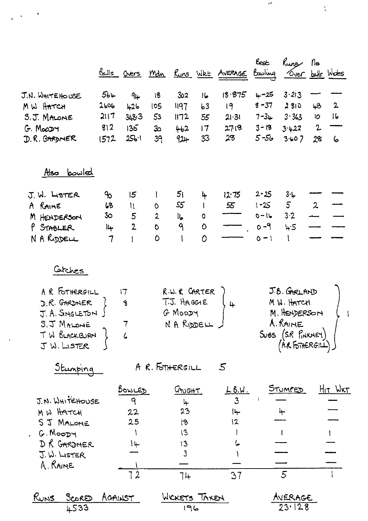|                                                                                                            |                         |                                            |                 |                                                                   |                   | <u>Balls Overs Mdn Runs Web AVERAGE</u>          | පිය<br>Bauling                  | hung<br><u>Over bolls Wodes</u>                                                                                                                       | ାୀ∞                |                    |
|------------------------------------------------------------------------------------------------------------|-------------------------|--------------------------------------------|-----------------|-------------------------------------------------------------------|-------------------|--------------------------------------------------|---------------------------------|-------------------------------------------------------------------------------------------------------------------------------------------------------|--------------------|--------------------|
| J.N. WHITE HOUSE<br>MW HATCH<br>S.J. MALONE                                                                | $564 -$<br>2606<br>2117 | $9\mu$<br>$+26$<br>3483                    | 18<br>105<br>53 | 302<br>1197<br>1172                                               | عاا<br>b3<br>55   | 18.875<br>19<br>21.31                            | $+ -25$<br>$8 - 37$<br>$7 - 34$ | $3 - 213$<br>2810<br>3.363                                                                                                                            | 48<br>10           | $\mathbf{2}$<br> b |
| G. MOODY<br>D.R. GARDNER                                                                                   | 812<br>1572             | 135<br>256:1                               | 30<br>39        | 462<br>$92 +$                                                     | 17<br>33          | 27.18<br>28                                      | $3 - 18$<br>$5 - 56$            | 3.422<br>3.607                                                                                                                                        | $\mathbf{2}$<br>28 | 6                  |
| Also bowled                                                                                                |                         |                                            |                 |                                                                   |                   |                                                  |                                 |                                                                                                                                                       |                    |                    |
| J. W. LISTER<br>A RAINE                                                                                    | %<br>68                 | 15<br>$\mathbf{u}$                         | ł<br>$\circ$    | 5 <sub>1</sub><br>55                                              | 4<br>$\mathbf{I}$ | 12.75<br>$\mathfrak{D}$                          | $2 - 25$<br>$1 - 25$            | $3 +$<br>5                                                                                                                                            | $\mathbf{2}$       |                    |
| M HENDERSON                                                                                                | 30                      | 5                                          | $\mathbf{2}$    | ماا                                                               | 0                 |                                                  | $0 - 16$                        | 3.2                                                                                                                                                   |                    |                    |
| P STABLER<br>N A RUDDELL                                                                                   | جاأ<br>7                | $\overline{2}$<br>I                        | $\bullet$<br>0  | ٩<br>ţ                                                            | 0<br>0            |                                                  | $0 - 9$<br>$0 - 1$              | 4.5                                                                                                                                                   |                    |                    |
| Gtches<br>A R FOTHERGILL<br>D.R. GARDNER<br>J. A. SINGLETON )<br>S.J MALONE<br>TW BLACKBURN<br>J W. LISTER | ገ                       | 17<br>8<br>7                               |                 | R.W. R CARTER<br>$TJ.$ HAGGIE<br>G MOODY<br>NA RUDELL             |                   | 4                                                |                                 | J.B. GARLAND<br>M. W. HATCH<br>M. HENDERSON<br>A. RAINE<br>SUBS (SR PINKNEY)<br>$(A \text{R} \text{F6} \text{H} \text{C} \text{F8} \text{F} \text{H}$ |                    |                    |
| Stumping                                                                                                   |                         |                                            |                 | A R. FOTHERGILL                                                   |                   | $5\overline{)}$                                  |                                 |                                                                                                                                                       |                    |                    |
| J.N. WHITEHOUSE<br>M W HATCH<br>S J MALONE<br>G. MOODY<br>DR GARDNER<br>J.W. LISTER<br>A. RAINE            |                         | <u>BOWLED</u><br>9<br>22<br>25<br>١ų<br>72 |                 | <u>GNGHT</u><br>4<br>23<br>18<br>13<br>13<br>$\overline{3}$<br>74 |                   | <u>LB.W.</u><br>$\overline{3}$<br>14<br>12<br>37 |                                 | <u>Stumred</u><br>5                                                                                                                                   |                    | <u>Hit Wkt</u>     |

 $\frac{1}{2} \left( \frac{1}{2} \right)^2$ 

 $\mathbf{r}$ 

 $\hat{\mathcal{A}}$ 

 $\frac{1}{2}$ 

|      | RUNS SCORED AGAINST | WCKETS TAKEN | AVERAGE |
|------|---------------------|--------------|---------|
| 4533 |                     | ماحا         | 23.128  |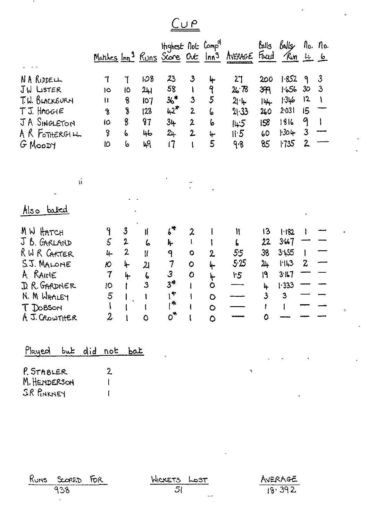$\underline{\underline{C} \underline{\underline{\nu} \underline{\rho}} }$ 

|                                                                                                                                | Matches Inn <sup>3</sup> Runs Score Out Inn <sup>3</sup> |                                                                  |                                                       | Itighest Not Comp <sup>el</sup>                             |                                                                                                           |                                                                  | AVERAGE Faced Run                                    | Bulls                                                  | حكاله                                                            | <u>4 4</u>                                                            | No. No.                                           |
|--------------------------------------------------------------------------------------------------------------------------------|----------------------------------------------------------|------------------------------------------------------------------|-------------------------------------------------------|-------------------------------------------------------------|-----------------------------------------------------------------------------------------------------------|------------------------------------------------------------------|------------------------------------------------------|--------------------------------------------------------|------------------------------------------------------------------|-----------------------------------------------------------------------|---------------------------------------------------|
| NA RIDDELL<br>JW LISTER<br>T.W. BLACKSURN<br>TJ. HAGGIE<br>JA SINGLETON<br>A R FOTHERGILL<br>G MOODY                           | $\mathbf 7$<br>10<br>$\mathbf{H}$<br>8<br>10<br>8<br>10  | ٦<br>10<br>8<br>8<br>8<br>6<br>6                                 | 108<br>24<br>10 <sub>1</sub><br>128<br>87<br>46<br>49 | 23<br>58<br>$36*$<br>$42*$<br>34<br>24<br>$\overline{17}$   | 3<br>ı<br>$\overline{3}$<br>$\overline{2}$<br>$\overline{z}$<br>$\overline{2}$<br>$\overline{\mathbf{I}}$ | 4<br>9<br>5<br>6<br>6<br>4<br>5                                  | 27<br>2678<br>$21 +$<br>21.33<br>14.5<br>II.5<br>9.8 | 200<br>399<br>$144 -$<br>260<br>158<br>60<br>85        | 1.852<br>1.656<br>1.346<br>2.031<br>1816<br>$130 +$<br>1735      | ۹<br>30 <sub>o</sub><br>12<br>15<br>9<br>$\mathbf{3}$<br>$\mathbf{2}$ | $\mathfrak{Z}$<br>$\mathfrak{S}$<br>$\mathcal{L}$ |
| á<br>Also batted                                                                                                               |                                                          |                                                                  |                                                       |                                                             |                                                                                                           |                                                                  |                                                      |                                                        |                                                                  |                                                                       |                                                   |
| MW HATCH<br>J B. GARLAND<br>R W R GARTER<br>SJ. MALOME<br>A RAINE<br>D. R. GARDNER<br>N. M WHALEY<br>T DOBSON<br>A J. CROWTHER | 9<br>$\mathsf{S}$<br>4<br>Ю<br>7<br>10<br>5              | $\boldsymbol{3}$<br>$\mathbf 2$<br>$\mathbf{2}$<br>╄<br>ᢥ<br>210 | 1ľ<br>6<br>$\mathbf l$<br>21<br>$\boldsymbol{6}$<br>3 | ᡰ<br>9<br>7<br>$\mathcal{S}$<br>$3^*$<br>۱*<br>rk,<br>$O^*$ | $\mathbf{z}$<br>$\mathbf{I}$<br>$\circ$<br>0<br>0                                                         | $\overline{2}$<br>4<br>ᡫ<br>$\bullet$<br>$\circ$<br>$\circ$<br>O | ١ı<br>6<br>55<br>5.25<br>15                          | 13<br>22<br>38<br>24<br>۱۹<br>4<br>$\overline{3}$<br>O | 1:182<br>3.667<br>3.455<br>1143<br>3:117<br>1333<br>$\mathbf{3}$ | $\boldsymbol{z}$                                                      |                                                   |
| Played but did not bat<br>P. STABLER                                                                                           | $\overline{2}$                                           |                                                                  |                                                       |                                                             |                                                                                                           |                                                                  | ÷.                                                   |                                                        |                                                                  |                                                                       |                                                   |
| M. HENDERSON<br>SR PINKNEY                                                                                                     |                                                          |                                                                  |                                                       |                                                             |                                                                                                           |                                                                  |                                                      |                                                        |                                                                  |                                                                       |                                                   |

RUNS SCORED FOR

 $\overline{a}$ 

 $\mathbf{I}$ 

WICKETS LOST

 $\frac{\text{NERAGE}}{18.392}$ 

 $\ddot{\phantom{0}}$ 

J.

 $\mathbf{r}$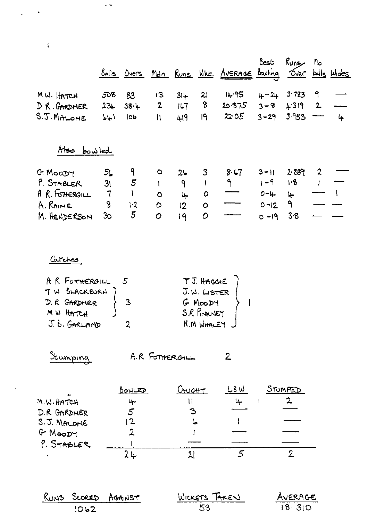|                                                                                         |                                                   |                                                |                                                          |                                                  |                                                                     | Balls Overs Mdn Runs Wikt. AvERAGE Bauling Over balls Wides | Best                                                   | $R\nu$ ns $n_{\rm o}$                    |                       |   |
|-----------------------------------------------------------------------------------------|---------------------------------------------------|------------------------------------------------|----------------------------------------------------------|--------------------------------------------------|---------------------------------------------------------------------|-------------------------------------------------------------|--------------------------------------------------------|------------------------------------------|-----------------------|---|
| MW. HATCH<br>DR. GARDNER<br>S.J. MALONE                                                 | 508<br>$23+$<br>641                               | 83<br>38.4<br> 06                              | 13<br>W                                                  | $31 +$<br>2117<br>419                            | 21<br>8.                                                            | I4·95<br>20.87 <i>5</i><br>$19$ $22.05$ $3-29$ $3.953$      | $4 - 24$ 3.783<br>$3 - 8$                              | 4.319                                    | 9<br>$\mathbf{2}$     | 4 |
| Also bowled                                                                             |                                                   |                                                |                                                          |                                                  |                                                                     |                                                             |                                                        |                                          |                       |   |
| G. MOODY<br>P. STABLER<br>A R. FOTHERGILL<br>A. RAINE<br>M. HENDERSON                   | 5 <sub>b</sub><br>31<br>$\overline{7}$<br>8<br>30 | ٩<br>$\overline{5}$<br>$\mathbf{I}$<br>12<br>5 | $\circ$<br>$\mathbf{1}$<br>$\circ$<br>$\circ$<br>$\circ$ | 2 <sub>b</sub><br>٩<br>4<br>$\overline{2}$<br>19 | $\boldsymbol{3}$<br>$\mathbf{I}$<br>$\circ$<br>$\bullet$<br>O       | 8.67<br>$\int$                                              | $3 - 11$<br>$1 - 9$<br>$O - 4$<br>$0 - 12$<br>$0 - 19$ | 2.889<br>1.8<br>$\downarrow$<br>٩<br>3.8 | $\boldsymbol{2}$<br>T |   |
| Carches<br>A R FOTHERGILL<br>TW BLACKBURN<br>D. R GARDHER<br>M W HATCH<br>J. B. GARLAND |                                                   | 5<br>$\overline{\mathbf{3}}$<br>$\overline{2}$ |                                                          |                                                  | TJ. HAGGIE<br>J.W. LISTER<br>$G$ Moody<br>S.R PINKNEY<br>N.M WHALEY |                                                             |                                                        |                                          |                       |   |
| Stumping                                                                                |                                                   |                                                | A.R FOTHERGILL                                           |                                                  |                                                                     | $\overline{2}$                                              |                                                        |                                          |                       |   |
|                                                                                         |                                                   | <u>BOWLED</u>                                  |                                                          | Cructi                                           |                                                                     | L8W                                                         |                                                        | <u>STUMPED</u>                           |                       |   |

 $\sim$  18

 $\mathcal{L}^{\mathcal{L}}(\mathcal{A})$  . The set of  $\mathcal{L}^{\mathcal{L}}(\mathcal{A})$ 

 $\mathcal{L}^{\text{max}}(\mathcal{K})$  .

| DOWLED | <u>LAUGHT</u> | LOW | OTUMPED. |
|--------|---------------|-----|----------|
|        |               |     |          |
|        |               |     |          |
| 2      | صا            |     |          |
|        |               |     |          |
|        |               |     |          |
| جا '   |               |     |          |
|        |               | ∼   |          |

|      | RUNS SCORED AGAINST | WICKETS TAKEN | AVERAGE |
|------|---------------------|---------------|---------|
| 1062 |                     | .58           | 18.310  |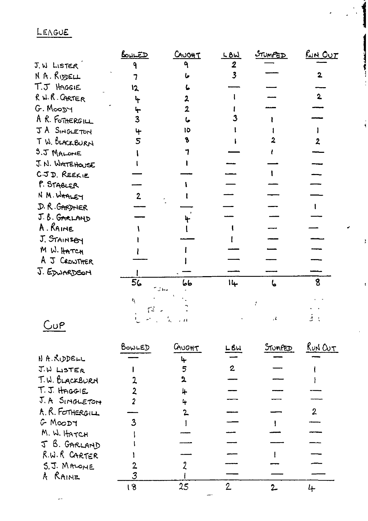## LENGUE

 $\sim$ 

|                  | <u>CoultD</u>                      | CAUCHT | LBW                     | <u>Stumped</u>        | <u>lun Out</u> |
|------------------|------------------------------------|--------|-------------------------|-----------------------|----------------|
| J. W LISTER      | ٩                                  | ٩      | $\overline{2}$          |                       |                |
| N A. RIDDELL     |                                    |        | $\overline{\mathbf{3}}$ |                       |                |
| $T.T$ HAGGIE     | ۱2                                 |        |                         |                       |                |
| R. W. R. CARTER  | ᡃᡕ                                 | 2      |                         |                       | 2.             |
| G. MooDY         | ᡃᡪ                                 | 2      |                         |                       |                |
| A R. FOTHERGILL  | 3                                  |        |                         |                       |                |
| JA SINGLETON     | ᠰ                                  | 10     |                         |                       |                |
| TW. BLACKBURN    | 5                                  |        |                         |                       | 2              |
| 3.J MALONE       |                                    |        |                         |                       |                |
| J. N. WHITEHOUSE |                                    |        |                         |                       |                |
| C.J.D. REEKIE    |                                    |        |                         |                       |                |
| P. STABLER       |                                    |        |                         |                       |                |
| N M. WHALEY      | $\overline{2}$                     |        |                         |                       |                |
| D. R. GARDNER    |                                    |        |                         |                       |                |
| J.B. GARLAND     |                                    |        |                         |                       |                |
| A. RAINE         |                                    |        |                         |                       |                |
| J. STAINSBY      |                                    |        |                         |                       |                |
| M W. HATCH       |                                    |        |                         |                       |                |
| A J CROWTHER     |                                    |        |                         |                       |                |
| J. EDWARDSON     |                                    |        |                         |                       |                |
|                  | $\overline{56}$<br>$\sim$ 34 $\mu$ | طط     | 14                      | ما                    | 8              |
|                  | ٩                                  |        |                         |                       |                |
|                  |                                    |        |                         |                       |                |
| CuP              |                                    |        |                         | . $\pmb{\mathcal{L}}$ | ڋ              |

ستعطف والبراس

 $\frac{1}{4}$ 

 $\frac{1}{\mu}$ 

 $\bar{\rm t}$ 

|                     | BOWLED | GOUGHT | LBW | STUMPED | κυΝ Ωυτ |
|---------------------|--------|--------|-----|---------|---------|
| NA. RIDDELL         |        |        |     |         |         |
| J.W LISTER          |        | 5      | 2   |         |         |
| T.W. BLACKBURN      |        |        |     |         |         |
| T. J. HAGGIE        |        | 4      |     |         |         |
| J. A SINGLETON      |        | 4      |     |         |         |
| A.R. FOTHERGILL     |        |        |     |         | 2       |
| $G$ $M$ $Q$ $D$ $T$ |        |        |     |         |         |
| M. W. HATCH         |        |        |     |         |         |
| J B. GARLAND        |        |        |     |         |         |
| R.W.R CARTER        |        |        |     |         |         |
| S.J. MALONE         |        |        |     |         |         |
| A RAINE             |        |        |     |         |         |
|                     | 8      | 25     |     |         |         |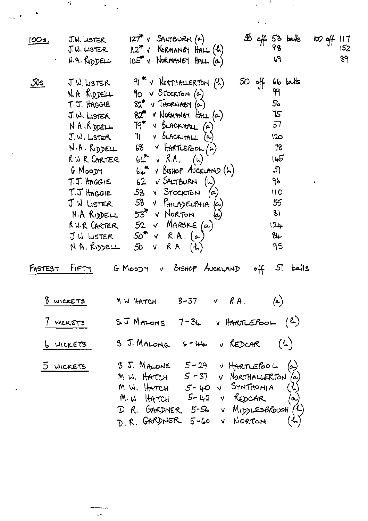|              | 桂                                                                                                                                                                                                           |                                                                                                                                                                                                                                                                                                                                                                                                                                                                                                                                              |                                   |                                                                                                       |                                          |
|--------------|-------------------------------------------------------------------------------------------------------------------------------------------------------------------------------------------------------------|----------------------------------------------------------------------------------------------------------------------------------------------------------------------------------------------------------------------------------------------------------------------------------------------------------------------------------------------------------------------------------------------------------------------------------------------------------------------------------------------------------------------------------------------|-----------------------------------|-------------------------------------------------------------------------------------------------------|------------------------------------------|
|              |                                                                                                                                                                                                             |                                                                                                                                                                                                                                                                                                                                                                                                                                                                                                                                              |                                   |                                                                                                       |                                          |
| <u>100s.</u> | J.W. LISTER<br>J.W. LISTER<br>N.A. RIDDELL                                                                                                                                                                  | $127$ $V$ SALTBURN $(a)$<br>$12^{\#}$ $\vee$ Norman $\theta$ $\theta$ $\theta$ $\theta$<br>$105$ $v$ Normansy HALL $(a)$                                                                                                                                                                                                                                                                                                                                                                                                                     |                                   | $\frac{56}{9}$ off 53 balks<br>69                                                                     | $100 \frac{df}{f}$<br>$\mu$<br>152<br>89 |
| <u>50s</u>   | $J$ W. LISTER<br>$N.R$ RIDDELL<br>T.J. HAGGIE<br>J.W. LISTER<br>N.A.A.<br>J.W. LSTER<br>N.A. RIDDELL<br>R W R. CARTER<br>G. MOODY<br>T.J. HAGGIE<br>T.J. HAGGIE<br>J W. LISTER<br>J W LISTER<br>NA. RIDDELL | $91 * v$ Northtralerton $(4)$<br>90 V STOCKTON (a)<br>$82^{\text{P}}$ v THORNABY $(a)$<br>$82$ <sup>*</sup> $v$ Normanism HALL $(a)$<br>$79$ $\sqrt{5}$ benck the $(a)$<br>$71$ v $5$ LACKHALL $(a)$<br>$68$ $\vee$ HARTLEPOOL $(n)$<br>$64^{\star}$ v R.A. (h)<br>$6\mu$ $\mu$ $\sigma$ $\beta$ is not AUCKLAND $(\mu)$<br>$62$ $V$ SALTBURN $(L)$<br>$58$ Y Stockton (a)<br>$58 \vee$ PHILADELATIA $(a)$<br>$N.A$ RIDDELL $53^* \vee$ NORTON<br>(م)<br>RUR CARTER $52 \times M$ ARSKE $(a)$<br>$50^*$ v R.A. $(\alpha)$<br>$50$ v RA $(1)$ | 50 off                            | 66 balts<br>99<br>56<br>75<br>57<br>120<br>78<br>145<br>அ<br>96<br>110<br>55<br>81<br>124<br>84<br>95 |                                          |
| FASTEST      | tiFTY                                                                                                                                                                                                       | V BISHOP AUCKLAND<br>G MOODY                                                                                                                                                                                                                                                                                                                                                                                                                                                                                                                 | $\circ \mathfrak{f} \mathfrak{f}$ | كالفظ<br>51                                                                                           |                                          |
|              | 8 WICKETS                                                                                                                                                                                                   | $M W H$ $M T$ $M$ $S - 37$ $V$ $R A$ .                                                                                                                                                                                                                                                                                                                                                                                                                                                                                                       |                                   | (a)                                                                                                   |                                          |
|              | 7 WICKETS                                                                                                                                                                                                   | S.J MALONE 7-34 V HARTLEPOOL (2)                                                                                                                                                                                                                                                                                                                                                                                                                                                                                                             |                                   |                                                                                                       |                                          |
|              | 6 WICKETS                                                                                                                                                                                                   | S J. MALONE 6-44 V REDCAR (2)                                                                                                                                                                                                                                                                                                                                                                                                                                                                                                                |                                   |                                                                                                       |                                          |
|              | 5 WICKETS                                                                                                                                                                                                   | S J. MALONE 5-29 V HARTLEPOOL (a)<br>M W. HATCH 5-37 V NORTHALLERTON (a)<br>MW. HATCH $5 - 40 - 3$ STATHOM(A<br>M.W HATCH 5-42 V REDCAR<br>D R. GARDNER 5-56 V MIDDLESBROWH (2)<br>D.R. GARDNER 5-60 V NORTON                                                                                                                                                                                                                                                                                                                                |                                   | $(\infty)$                                                                                            |                                          |

 $\frac{1}{\sqrt{2\pi}}$